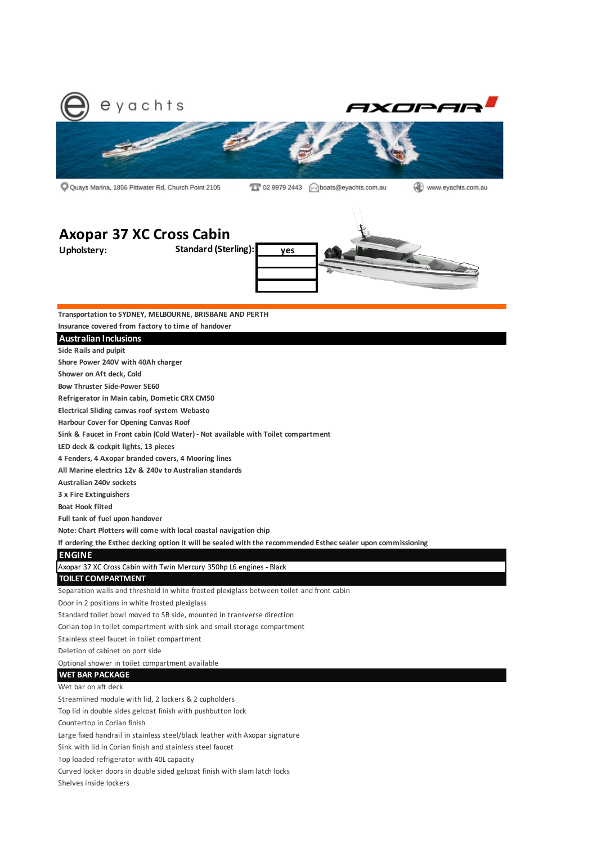

Q Quays Marina, 1856 Pittwater Rd, Church Point 2105

(2) www.eyachts.com.au

# **Axopar 37 XC Cross Cabin**



**Transportation to SYDNEY, MELBOURNE, BRISBANE AND PERTH**

**Insurance covered from factory to time of handover**

### **Australian Inclusions**

**Side Rails and pulpit**

**Shore Power 240V with 40Ah charger**

**Shower on Aft deck, Cold**

**Bow Thruster Side-Power SE60**

**Refrigerator in Main cabin, Dometic CRX CM50**

**Electrical Sliding canvas roof system Webasto**

**Harbour Cover for Opening Canvas Roof** 

**Sink & Faucet in Front cabin (Cold Water) - Not available with Toilet compartment**

**LED deck & cockpit lights, 13 pieces**

**4 Fenders, 4 Axopar branded covers, 4 Mooring lines**

**All Marine electrics 12v & 240v to Australian standards**

**Australian 240v sockets**

**3 x Fire Extinguishers**

**Boat Hook fiited**

**Full tank of fuel upon handover**

**Note: Chart Plotters will come with local coastal navigation chip**

**If ordering the Esthec decking option it will be sealed with the recommended Esthec sealer upon commissioning**

# **ENGINE**

Axopar 37 XC Cross Cabin with Twin Mercury 350hp L6 engines - Black

## **TOILET COMPARTMENT**

Separation walls and threshold in white frosted plexiglass between toilet and front cabin

Door in 2 positions in white frosted plexiglass

Standard toilet bowl moved to SB side, mounted in transverse direction

Corian top in toilet compartment with sink and small storage compartment

Stainless steel faucet in toilet compartment

Deletion of cabinet on port side

Optional shower in toilet compartment available

### **WET BAR PACKAGE**

Wet bar on aft deck

Streamlined module with lid, 2 lockers & 2 cupholders

Top lid in double sides gelcoat finish with pushbutton lock

Countertop in Corian finish

Large fixed handrail in stainless steel/black leather with Axopar signature

Sink with lid in Corian finish and stainless steel faucet

Top loaded refrigerator with 40L capacity

Curved locker doors in double sided gelcoat finish with slam latch locks

Shelves inside lockers